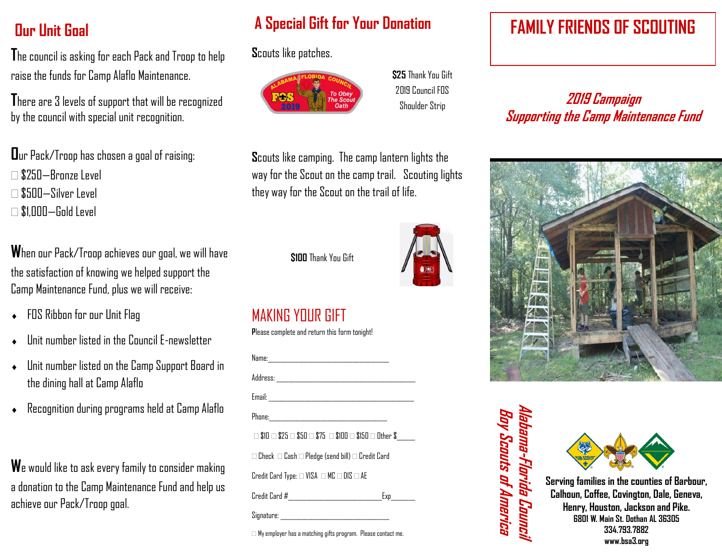# **Our Unit Goal**

**T**he council is asking for each Pack and Troop to help raise the funds for Camp Alaflo Maintenance.

**T**here are 3 levels of support that will be recognized by the council with special unit recognition.

**O**ur Pack/Troop has chosen a goal of raising:

- $\Box$  \$250—Bronze Level
- $\Box$  \$500—Silver Level
- $\Box$  \$1,000—Gold Level

**W**hen our Pack/Troop achieves our goal, we will have the satisfaction of knowing we helped support the Camp Maintenance Fund, plus we will receive:

- FOS Ribbon for our Unit Flag
- Unit number listed in the Council E-newsletter
- Unit number listed on the Camp Support Board in the dining hall at Camp Alaflo
- Recognition during programs held at Camp Alaflo

**W**e would like to ask every family to consider making a donation to the Camp Maintenance Fund and help us achieve our Pack/Troop goal.

# **A Special Gift for Your Donation FAMILY FRIENDS OF SCOUTING**

**S**couts like patches.



**\$25** Thank You Gift 2019 Council FOS Shoulder Strip

**S**couts like camping. The camp lantern lights the way for the Scout on the camp trail. Scouting lights they way for the Scout on the trail of life.

**\$100** Thank You Gift

### MAKING YOUR GIFT

**P**lease complete and return this form tonight!

| $\Box$ \$10 $\Box$ \$25 $\Box$ \$50 $\Box$ \$75 $\Box$ \$100 $\Box$ \$150 $\Box$ Other \$_____ |     |
|------------------------------------------------------------------------------------------------|-----|
| $\Box$ Check $\ \Box$ Cash $\Box$ Pledge (send bill) $\Box$ Credit Card                        |     |
| Credit Card Type: $\Box$ VISA $\Box$ MC $\Box$ DIS $\Box$ AE                                   |     |
| Credit Card #______________________________                                                    | Exp |
|                                                                                                |     |
|                                                                                                |     |

My employer has a matching gifts program. Please contact me.

**2019 Campaign Supporting the Camp Maintenance Fund**



**Alabama-Florida Council** Bay Scauts of America **Boy Scouts of America** Nabama-Florida Council



**Serving families in the counties of Barbour, Calhoun, Coffee, Covington, Dale, Geneva, Henry, Houston, Jackson and Pike. 6801 W. Main St. Dothan AL 36305 334.793.7882 www.bsa3.org**